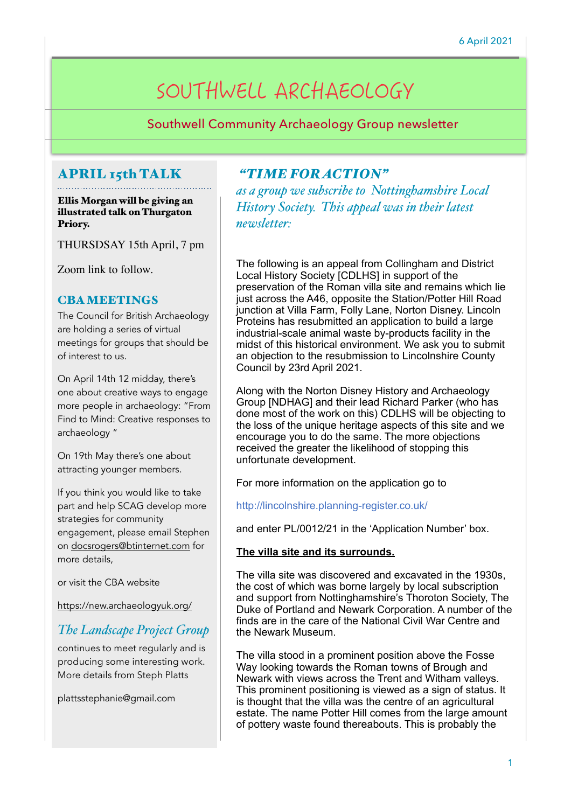# SOUTHWELL ARCHAEOLOGY

Southwell Community Archaeology Group newsletter

## APRIL 15th TALK

Ellis Morgan will be giving an illustrated talk on Thurgaton Priory.

THURSDSAY 15th April, 7 pm

Zoom link to follow.

#### CBA MEETINGS

The Council for British Archaeology are holding a series of virtual meetings for groups that should be of interest to us.

On April 14th 12 midday, there's one about creative ways to engage more people in archaeology: "From Find to Mind: Creative responses to archaeology "

On 19th May there's one about attracting younger members.

If you think you would like to take part and help SCAG develop more strategies for community engagement, please email Stephen on [docsrogers@btinternet.com](mailto:docsrogers@btinternet.com) for more details,

or visit the CBA website

<https://new.archaeologyuk.org/>

## *The Landscape Project Group*

continues to meet regularly and is producing some interesting work. More details from Steph Platts

plattsstephanie@gmail.com

#### *"TIME FOR ACTION"*

*as a group we subscribe to Nottinghamshire Local History Society. This appeal was in their latest newsletter:* 

The following is an appeal from Collingham and District Local History Society [CDLHS] in support of the preservation of the Roman villa site and remains which lie just across the A46, opposite the Station/Potter Hill Road junction at Villa Farm, Folly Lane, Norton Disney. Lincoln Proteins has resubmitted an application to build a large industrial-scale animal waste by-products facility in the midst of this historical environment. We ask you to submit an objection to the resubmission to Lincolnshire County Council by 23rd April 2021.

Along with the Norton Disney History and Archaeology Group [NDHAG] and their lead Richard Parker (who has done most of the work on this) CDLHS will be objecting to the loss of the unique heritage aspects of this site and we encourage you to do the same. The more objections received the greater the likelihood of stopping this unfortunate development.

For more information on the application go to

http://lincolnshire.planning-register.co.uk/

and enter PL/0012/21 in the 'Application Number' box.

#### **The villa site and its surrounds.**

The villa site was discovered and excavated in the 1930s, the cost of which was borne largely by local subscription and support from Nottinghamshire's Thoroton Society, The Duke of Portland and Newark Corporation. A number of the finds are in the care of the National Civil War Centre and the Newark Museum.

The villa stood in a prominent position above the Fosse Way looking towards the Roman towns of Brough and Newark with views across the Trent and Witham valleys. This prominent positioning is viewed as a sign of status. It is thought that the villa was the centre of an agricultural estate. The name Potter Hill comes from the large amount of pottery waste found thereabouts. This is probably the